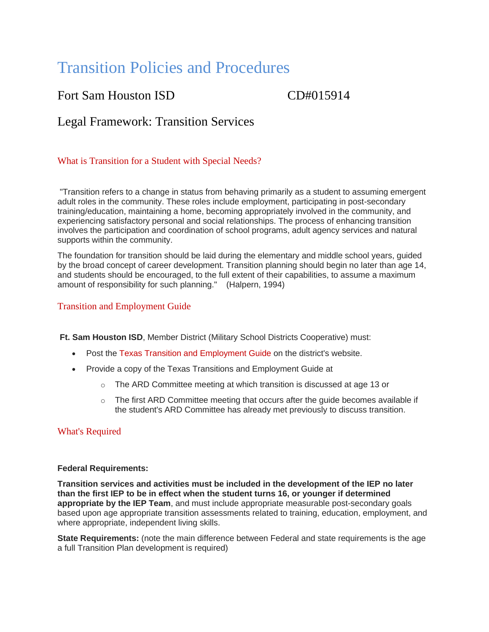# Transition Policies and Procedures

Fort Sam Houston ISD CD#015914

Legal Framework: Transition Services

## What is Transition for a Student with Special Needs?

"Transition refers to a change in status from behaving primarily as a student to assuming emergent adult roles in the community. These roles include employment, participating in post-secondary training/education, maintaining a home, becoming appropriately involved in the community, and experiencing satisfactory personal and social relationships. The process of enhancing transition involves the participation and coordination of school programs, adult agency services and natural supports within the community.

The foundation for transition should be laid during the elementary and middle school years, guided by the broad concept of career development. Transition planning should begin no later than age 14, and students should be encouraged, to the full extent of their capabilities, to assume a maximum amount of responsibility for such planning." (Halpern, 1994)

## Transition and Employment Guide

**Ft. Sam Houston ISD**, Member District (Military School Districts Cooperative) must:

- Post the [Texas Transition and Employment Guide](http://www.transitionintexas.org/cms/lib/TX01001018/Centricity/Domain/3/Texas%20Transition%20and%20Employment%20Guide%202014.pdf) on the district's website.
- Provide a copy of the Texas Transitions and Employment Guide at
	- $\circ$  The ARD Committee meeting at which transition is discussed at age 13 or
	- $\circ$  The first ARD Committee meeting that occurs after the guide becomes available if the student's ARD Committee has already met previously to discuss transition.

## What's Required

#### **Federal Requirements:**

**Transition services and activities must be included in the development of the IEP no later than the first IEP to be in effect when the student turns 16, or younger if determined appropriate by the IEP Team**, and must include appropriate measurable post-secondary goals based upon age appropriate transition assessments related to training, education, employment, and where appropriate, independent living skills.

**State Requirements:** (note the main difference between Federal and state requirements is the age a full Transition Plan development is required)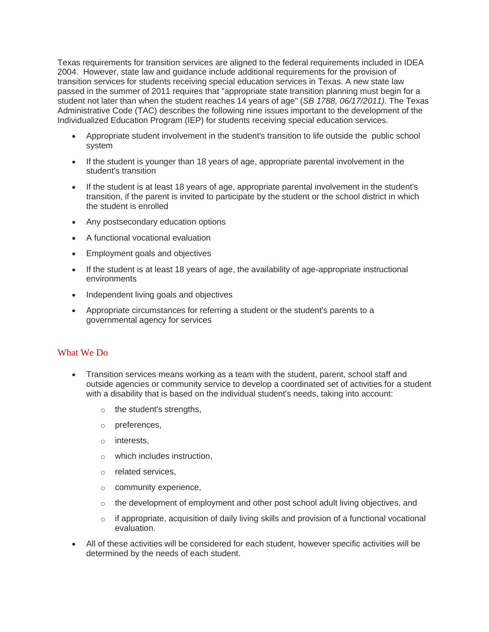Texas requirements for transition services are aligned to the federal requirements included in IDEA 2004. However, state law and guidance include additional requirements for the provision of transition services for students receiving special education services in Texas. A new state law passed in the summer of 2011 requires that "appropriate state transition planning must begin for a student not later than when the student reaches 14 years of age" (*SB 1788, 06/17/2011).* The Texas Administrative Code (TAC) describes the following nine issues important to the development of the Individualized Education Program (IEP) for students receiving special education services.

- Appropriate student involvement in the student's transition to life outside the public school system
- If the student is younger than 18 years of age, appropriate parental involvement in the student's transition
- If the student is at least 18 years of age, appropriate parental involvement in the student's transition, if the parent is invited to participate by the student or the school district in which the student is enrolled
- Any postsecondary education options
- A functional vocational evaluation
- Employment goals and objectives
- If the student is at least 18 years of age, the availability of age-appropriate instructional environments
- Independent living goals and objectives
- Appropriate circumstances for referring a student or the student's parents to a governmental agency for services

## What We Do

- Transition services means working as a team with the student, parent, school staff and outside agencies or community service to develop a coordinated set of activities for a student with a disability that is based on the individual student's needs, taking into account:
	- o the student's strengths,
	- o preferences,
	- o interests,
	- o which includes instruction,
	- o related services,
	- o community experience,
	- $\circ$  the development of employment and other post school adult living objectives, and
	- $\circ$  if appropriate, acquisition of daily living skills and provision of a functional vocational evaluation.
- All of these activities will be considered for each student, however specific activities will be determined by the needs of each student.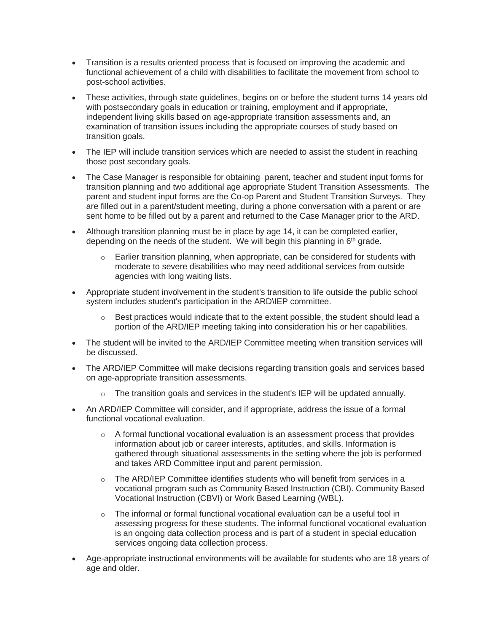- Transition is a results oriented process that is focused on improving the academic and functional achievement of a child with disabilities to facilitate the movement from school to post-school activities.
- These activities, through state guidelines, begins on or before the student turns 14 years old with postsecondary goals in education or training, employment and if appropriate, independent living skills based on age-appropriate transition assessments and, an examination of transition issues including the appropriate courses of study based on transition goals.
- The IEP will include transition services which are needed to assist the student in reaching those post secondary goals.
- The Case Manager is responsible for obtaining parent, teacher and student input forms for transition planning and two additional age appropriate Student Transition Assessments. The parent and student input forms are the Co-op Parent and Student Transition Surveys. They are filled out in a parent/student meeting, during a phone conversation with a parent or are sent home to be filled out by a parent and returned to the Case Manager prior to the ARD.
- Although transition planning must be in place by age 14, it can be completed earlier, depending on the needs of the student. We will begin this planning in 6<sup>th</sup> grade.
	- $\circ$  Earlier transition planning, when appropriate, can be considered for students with moderate to severe disabilities who may need additional services from outside agencies with long waiting lists.
- Appropriate student involvement in the student's transition to life outside the public school system includes student's participation in the ARD\IEP committee.
	- $\circ$  Best practices would indicate that to the extent possible, the student should lead a portion of the ARD/IEP meeting taking into consideration his or her capabilities.
- The student will be invited to the ARD/IEP Committee meeting when transition services will be discussed.
- The ARD/IEP Committee will make decisions regarding transition goals and services based on age-appropriate transition assessments.
	- $\circ$  The transition goals and services in the student's IEP will be updated annually.
- An ARD/IEP Committee will consider, and if appropriate, address the issue of a formal functional vocational evaluation.
	- $\circ$  A formal functional vocational evaluation is an assessment process that provides information about job or career interests, aptitudes, and skills. Information is gathered through situational assessments in the setting where the job is performed and takes ARD Committee input and parent permission.
	- o The ARD/IEP Committee identifies students who will benefit from services in a vocational program such as Community Based Instruction (CBI). Community Based Vocational Instruction (CBVI) or Work Based Learning (WBL).
	- $\circ$  The informal or formal functional vocational evaluation can be a useful tool in assessing progress for these students. The informal functional vocational evaluation is an ongoing data collection process and is part of a student in special education services ongoing data collection process.
- Age-appropriate instructional environments will be available for students who are 18 years of age and older.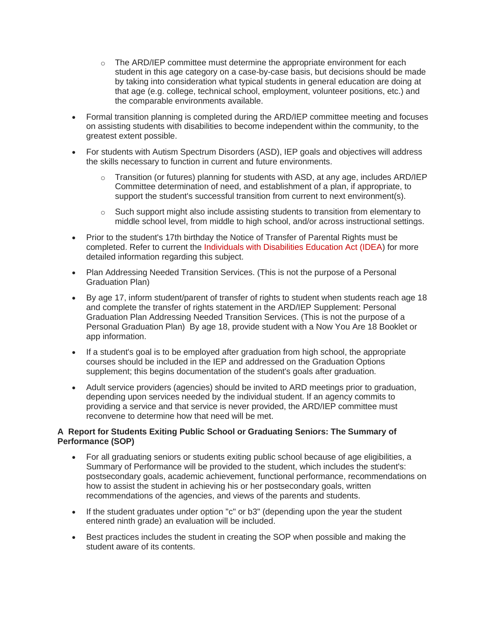- $\circ$  The ARD/IEP committee must determine the appropriate environment for each student in this age category on a case-by-case basis, but decisions should be made by taking into consideration what typical students in general education are doing at that age (e.g. college, technical school, employment, volunteer positions, etc.) and the comparable environments available.
- Formal transition planning is completed during the ARD/IEP committee meeting and focuses on assisting students with disabilities to become independent within the community, to the greatest extent possible.
- For students with Autism Spectrum Disorders (ASD), IEP goals and objectives will address the skills necessary to function in current and future environments.
	- $\circ$  Transition (or futures) planning for students with ASD, at any age, includes ARD/IEP Committee determination of need, and establishment of a plan, if appropriate, to support the student's successful transition from current to next environment(s).
	- $\circ$  Such support might also include assisting students to transition from elementary to middle school level, from middle to high school, and/or across instructional settings.
- Prior to the student's 17th birthday the Notice of Transfer of Parental Rights must be completed. Refer to current the [Individuals with Disabilities Education Act \(IDEA\)](http://idea.ed.gov/) for more detailed information regarding this subject.
- Plan Addressing Needed Transition Services. (This is not the purpose of a Personal Graduation Plan)
- By age 17, inform student/parent of transfer of rights to student when students reach age 18 and complete the transfer of rights statement in the ARD/IEP Supplement: Personal Graduation Plan Addressing Needed Transition Services. (This is not the purpose of a Personal Graduation Plan) By age 18, provide student with a Now You Are 18 Booklet or app information.
- If a student's goal is to be employed after graduation from high school, the appropriate courses should be included in the IEP and addressed on the Graduation Options supplement; this begins documentation of the student's goals after graduation.
- Adult service providers (agencies) should be invited to ARD meetings prior to graduation, depending upon services needed by the individual student. If an agency commits to providing a service and that service is never provided, the ARD/IEP committee must reconvene to determine how that need will be met.

#### **A Report for Students Exiting Public School or Graduating Seniors: The Summary of Performance (SOP)**

- For all graduating seniors or students exiting public school because of age eligibilities, a Summary of Performance will be provided to the student, which includes the student's: postsecondary goals, academic achievement, functional performance, recommendations on how to assist the student in achieving his or her postsecondary goals, written recommendations of the agencies, and views of the parents and students.
- If the student graduates under option "c" or b3" (depending upon the year the student entered ninth grade) an evaluation will be included.
- Best practices includes the student in creating the SOP when possible and making the student aware of its contents.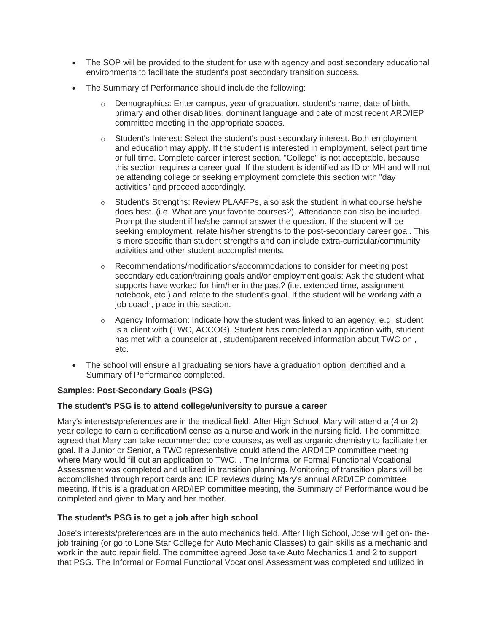- The SOP will be provided to the student for use with agency and post secondary educational environments to facilitate the student's post secondary transition success.
- The Summary of Performance should include the following:
	- o Demographics: Enter campus, year of graduation, student's name, date of birth, primary and other disabilities, dominant language and date of most recent ARD/IEP committee meeting in the appropriate spaces.
	- $\circ$  Student's Interest: Select the student's post-secondary interest. Both employment and education may apply. If the student is interested in employment, select part time or full time. Complete career interest section. "College" is not acceptable, because this section requires a career goal. If the student is identified as ID or MH and will not be attending college or seeking employment complete this section with "day activities" and proceed accordingly.
	- $\circ$  Student's Strengths: Review PLAAFPs, also ask the student in what course he/she does best. (i.e. What are your favorite courses?). Attendance can also be included. Prompt the student if he/she cannot answer the question. If the student will be seeking employment, relate his/her strengths to the post-secondary career goal. This is more specific than student strengths and can include extra-curricular/community activities and other student accomplishments.
	- o Recommendations/modifications/accommodations to consider for meeting post secondary education/training goals and/or employment goals: Ask the student what supports have worked for him/her in the past? (i.e. extended time, assignment notebook, etc.) and relate to the student's goal. If the student will be working with a job coach, place in this section.
	- $\circ$  Agency Information: Indicate how the student was linked to an agency, e.g. student is a client with (TWC, ACCOG), Student has completed an application with, student has met with a counselor at , student/parent received information about TWC on , etc.
- The school will ensure all graduating seniors have a graduation option identified and a Summary of Performance completed.

## **Samples: Post-Secondary Goals (PSG)**

#### **The student's PSG is to attend college/university to pursue a career**

Mary's interests/preferences are in the medical field. After High School, Mary will attend a (4 or 2) year college to earn a certification/license as a nurse and work in the nursing field. The committee agreed that Mary can take recommended core courses, as well as organic chemistry to facilitate her goal. If a Junior or Senior, a TWC representative could attend the ARD/IEP committee meeting where Mary would fill out an application to TWC. . The Informal or Formal Functional Vocational Assessment was completed and utilized in transition planning. Monitoring of transition plans will be accomplished through report cards and IEP reviews during Mary's annual ARD/IEP committee meeting. If this is a graduation ARD/IEP committee meeting, the Summary of Performance would be completed and given to Mary and her mother.

#### **The student's PSG is to get a job after high school**

Jose's interests/preferences are in the auto mechanics field. After High School, Jose will get on- thejob training (or go to Lone Star College for Auto Mechanic Classes) to gain skills as a mechanic and work in the auto repair field. The committee agreed Jose take Auto Mechanics 1 and 2 to support that PSG. The Informal or Formal Functional Vocational Assessment was completed and utilized in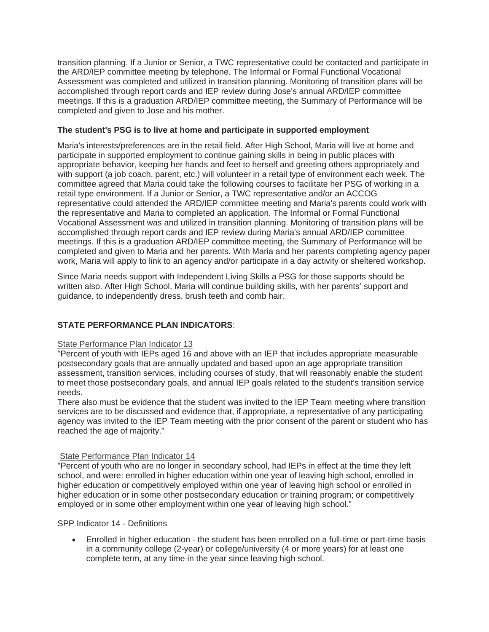transition planning. If a Junior or Senior, a TWC representative could be contacted and participate in the ARD/IEP committee meeting by telephone. The Informal or Formal Functional Vocational Assessment was completed and utilized in transition planning. Monitoring of transition plans will be accomplished through report cards and IEP review during Jose's annual ARD/IEP committee meetings. If this is a graduation ARD/IEP committee meeting, the Summary of Performance will be completed and given to Jose and his mother.

#### **The student's PSG is to live at home and participate in supported employment**

Maria's interests/preferences are in the retail field. After High School, Maria will live at home and participate in supported employment to continue gaining skills in being in public places with appropriate behavior, keeping her hands and feet to herself and greeting others appropriately and with support (a job coach, parent, etc.) will volunteer in a retail type of environment each week. The committee agreed that Maria could take the following courses to facilitate her PSG of working in a retail type environment. If a Junior or Senior, a TWC representative and/or an ACCOG representative could attended the ARD/IEP committee meeting and Maria's parents could work with the representative and Maria to completed an application. The Informal or Formal Functional Vocational Assessment was and utilized in transition planning. Monitoring of transition plans will be accomplished through report cards and IEP review during Maria's annual ARD/IEP committee meetings. If this is a graduation ARD/IEP committee meeting, the Summary of Performance will be completed and given to Maria and her parents. With Maria and her parents completing agency paper work, Maria will apply to link to an agency and/or participate in a day activity or sheltered workshop.

Since Maria needs support with Independent Living Skills a PSG for those supports should be written also. After High School, Maria will continue building skills, with her parents' support and guidance, to independently dress, brush teeth and comb hair.

## **STATE PERFORMANCE PLAN INDICATORS**:

#### [State Performance Plan Indicator 13](http://www.tea.state.tx.us/WorkArea/linkit.aspx?LinkIdentifier=id&ItemID=2147506255&libID=2147506248%20)

"Percent of youth with IEPs aged 16 and above with an IEP that includes appropriate measurable postsecondary goals that are annually updated and based upon an age appropriate transition assessment, transition services, including courses of study, that will reasonably enable the student to meet those postsecondary goals, and annual IEP goals related to the student's transition service needs.

There also must be evidence that the student was invited to the IEP Team meeting where transition services are to be discussed and evidence that, if appropriate, a representative of any participating agency was invited to the IEP Team meeting with the prior consent of the parent or student who has reached the age of majority."

#### [State Performance Plan Indicator 14](http://www.tea.state.tx.us/WorkArea/linkit.aspx?LinkIdentifier=id&ItemID=2147506061&libID=2147506054%20)

"Percent of youth who are no longer in secondary school, had IEPs in effect at the time they left school, and were: enrolled in higher education within one year of leaving high school, enrolled in higher education or competitively employed within one year of leaving high school or enrolled in higher education or in some other postsecondary education or training program; or competitively employed or in some other employment within one year of leaving high school."

#### SPP Indicator 14 - Definitions

• Enrolled in higher education - the student has been enrolled on a full-time or part-time basis in a community college (2-year) or college/university (4 or more years) for at least one complete term, at any time in the year since leaving high school.